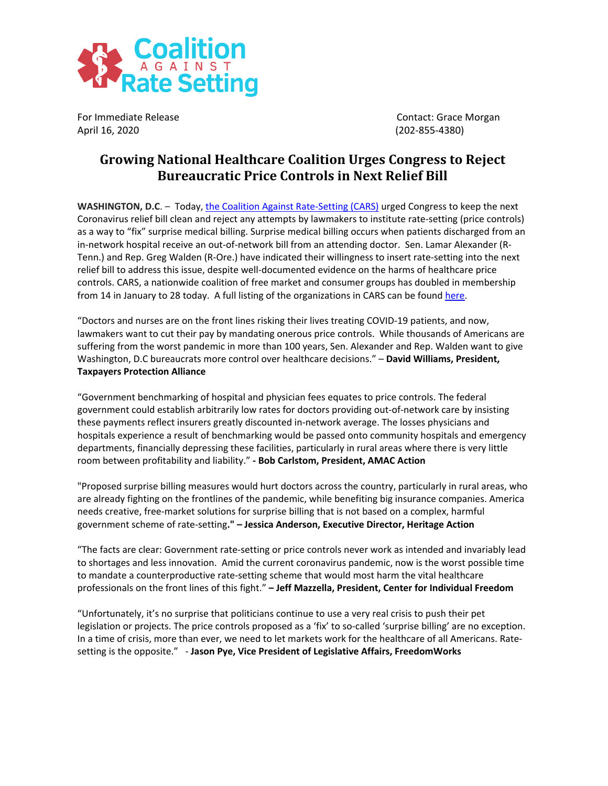

April 16, 2020 (202-855-4380)

For Immediate Release Contact: Grace Morgan

## **Growing National Healthcare Coalition Urges Congress to Reject Bureaucratic Price Controls in Next Relief Bill**

**WASHINGTON, D.C**. – Today, [the Coalition Against Rate-Setting \(CARS\)](http://noratesetting.org/) urged Congress to keep the next Coronavirus relief bill clean and reject any attempts by lawmakers to institute rate-setting (price controls) as a way to "fix" surprise medical billing. Surprise medical billing occurs when patients discharged from an in-network hospital receive an out-of-network bill from an attending doctor. Sen. Lamar Alexander (R-Tenn.) and Rep. Greg Walden (R-Ore.) have indicated their willingness to insert rate-setting into the next relief bill to address this issue, despite well-documented evidence on the harms of healthcare price controls. CARS, a nationwide coalition of free market and consumer groups has doubled in membership from 14 in January to 28 today. A full listing of the organizations in CARS can be found [here](http://noratesetting.org/members/).

"Doctors and nurses are on the front lines risking their lives treating COVID-19 patients, and now, lawmakers want to cut their pay by mandating onerous price controls. While thousands of Americans are suffering from the worst pandemic in more than 100 years, Sen. Alexander and Rep. Walden want to give Washington, D.C bureaucrats more control over healthcare decisions." – **David Williams, President, Taxpayers Protection Alliance**

"Government benchmarking of hospital and physician fees equates to price controls. The federal government could establish arbitrarily low rates for doctors providing out-of-network care by insisting these payments reflect insurers greatly discounted in-network average. The losses physicians and hospitals experience a result of benchmarking would be passed onto community hospitals and emergency departments, financially depressing these facilities, particularly in rural areas where there is very little room between profitability and liability." **- Bob Carlstom, President, AMAC Action** 

"Proposed surprise billing measures would hurt doctors across the country, particularly in rural areas, who are already fighting on the frontlines of the pandemic, while benefiting big insurance companies. America needs creative, free-market solutions for surprise billing that is not based on a complex, harmful government scheme of rate-setting**." – Jessica Anderson, Executive Director, Heritage Action**

"The facts are clear: Government rate-setting or price controls never work as intended and invariably lead to shortages and less innovation. Amid the current coronavirus pandemic, now is the worst possible time to mandate a counterproductive rate-setting scheme that would most harm the vital healthcare professionals on the front lines of this fight." **– Jeff Mazzella, President, Center for Individual Freedom**

"Unfortunately, it's no surprise that politicians continue to use a very real crisis to push their pet legislation or projects. The price controls proposed as a 'fix' to so-called 'surprise billing' are no exception. In a time of crisis, more than ever, we need to let markets work for the healthcare of all Americans. Ratesetting is the opposite." - **Jason Pye, Vice President of Legislative Affairs, FreedomWorks**